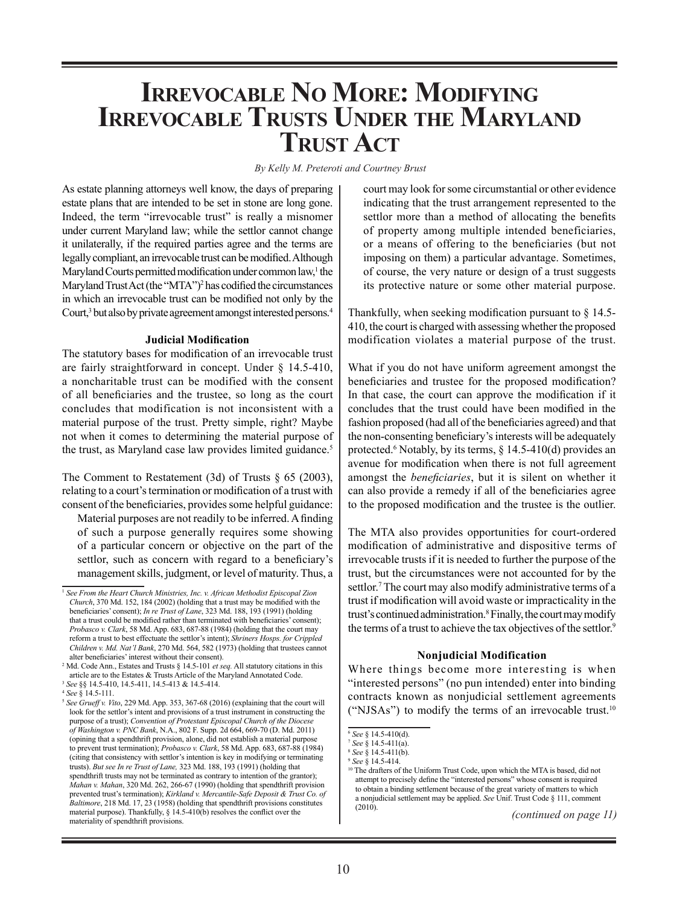# **Irrevocable No More: Modifying Irrevocable Trusts Under the Maryland Trust Act**

*By Kelly M. Preteroti and Courtney Brust*

As estate planning attorneys well know, the days of preparing estate plans that are intended to be set in stone are long gone. Indeed, the term "irrevocable trust" is really a misnomer under current Maryland law; while the settlor cannot change it unilaterally, if the required parties agree and the terms are legally compliant, an irrevocable trust can be modified. Although Maryland Courts permitted modification under common law,<sup>1</sup> the Maryland Trust Act (the "MTA")<sup>2</sup> has codified the circumstances in which an irrevocable trust can be modified not only by the Court,<sup>3</sup> but also by private agreement amongst interested persons.<sup>4</sup>

## **Judicial Modification**

The statutory bases for modification of an irrevocable trust are fairly straightforward in concept. Under § 14.5-410, a noncharitable trust can be modified with the consent of all beneficiaries and the trustee, so long as the court concludes that modification is not inconsistent with a material purpose of the trust. Pretty simple, right? Maybe not when it comes to determining the material purpose of the trust, as Maryland case law provides limited guidance.<sup>5</sup>

The Comment to Restatement (3d) of Trusts § 65 (2003), relating to a court's termination or modification of a trust with consent of the beneficiaries, provides some helpful guidance:

Material purposes are not readily to be inferred. A finding of such a purpose generally requires some showing of a particular concern or objective on the part of the settlor, such as concern with regard to a beneficiary's management skills, judgment, or level of maturity. Thus, a

<sup>4</sup> *See* § 14.5-111.

court may look for some circumstantial or other evidence indicating that the trust arrangement represented to the settlor more than a method of allocating the benefits of property among multiple intended beneficiaries, or a means of offering to the beneficiaries (but not imposing on them) a particular advantage. Sometimes, of course, the very nature or design of a trust suggests its protective nature or some other material purpose.

Thankfully, when seeking modification pursuant to § 14.5- 410, the court is charged with assessing whether the proposed modification violates a material purpose of the trust.

What if you do not have uniform agreement amongst the beneficiaries and trustee for the proposed modification? In that case, the court can approve the modification if it concludes that the trust could have been modified in the fashion proposed (had all of the beneficiaries agreed) and that the non-consenting beneficiary's interests will be adequately protected.<sup>6</sup> Notably, by its terms, § 14.5-410(d) provides an avenue for modification when there is not full agreement amongst the *beneficiaries*, but it is silent on whether it can also provide a remedy if all of the beneficiaries agree to the proposed modification and the trustee is the outlier.

The MTA also provides opportunities for court-ordered modification of administrative and dispositive terms of irrevocable trusts if it is needed to further the purpose of the trust, but the circumstances were not accounted for by the settlor.<sup>7</sup> The court may also modify administrative terms of a trust if modification will avoid waste or impracticality in the trust's continued administration.8 Finally, the court may modify the terms of a trust to achieve the tax objectives of the settlor.<sup>9</sup>

## **Nonjudicial Modification**

Where things become more interesting is when "interested persons" (no pun intended) enter into binding contracts known as nonjudicial settlement agreements ("NJSAs") to modify the terms of an irrevocable trust.10

<sup>&</sup>lt;sup>1</sup> See From the Heart Church Ministries, Inc. v. African Methodist Episcopal Zion *Church*, 370 Md. 152, 184 (2002) (holding that a trust may be modified with the beneficiaries' consent); *In re Trust of Lane*, 323 Md. 188, 193 (1991) (holding that a trust could be modified rather than terminated with beneficiaries' consent); *Probasco v. Clark*, 58 Md. App. 683, 687-88 (1984) (holding that the court may reform a trust to best effectuate the settlor's intent); *Shriners Hosps. for Crippled Children v. Md. Nat'l Bank*, 270 Md. 564, 582 (1973) (holding that trustees cannot alter beneficiaries' interest without their consent).

<sup>2</sup> Md. Code Ann., Estates and Trusts § 14.5-101 *et seq.* All statutory citations in this article are to the Estates & Trusts Article of the Maryland Annotated Code. <sup>3</sup> *See* §§ 14.5-410, 14.5-411, 14.5-413 & 14.5-414.

<sup>5</sup> *See Grueff v. Vito*, 229 Md. App. 353, 367-68 (2016) (explaining that the court will look for the settlor's intent and provisions of a trust instrument in constructing the purpose of a trust); *Convention of Protestant Episcopal Church of the Diocese of Washington v. PNC Bank*, N.A., 802 F. Supp. 2d 664, 669-70 (D. Md. 2011) (opining that a spendthrift provision, alone, did not establish a material purpose to prevent trust termination); *Probasco v. Clark*, 58 Md. App. 683, 687-88 (1984) (citing that consistency with settlor's intention is key in modifying or terminating trusts). *But see In re Trust of Lane,* 323 Md. 188, 193 (1991) (holding that spendthrift trusts may not be terminated as contrary to intention of the grantor); *Mahan v. Mahan*, 320 Md. 262, 266-67 (1990) (holding that spendthrift provision prevented trust's termination); *Kirkland v. Mercantile-Safe Deposit & Trust Co. of Baltimore*, 218 Md. 17, 23 (1958) (holding that spendthrift provisions constitutes material purpose). Thankfully, § 14.5-410(b) resolves the conflict over the materiality of spendthrift provisions.

<sup>6</sup> *See* § 14.5-410(d).

<sup>7</sup> *See* § 14.5-411(a).

<sup>8</sup> *See* § 14.5-411(b). <sup>9</sup> *See* § 14.5-414.

<sup>&</sup>lt;sup>10</sup> The drafters of the Uniform Trust Code, upon which the MTA is based, did not attempt to precisely define the "interested persons" whose consent is required to obtain a binding settlement because of the great variety of matters to which a nonjudicial settlement may be applied. *See* Unif. Trust Code § 111, comment (2010).

*<sup>(</sup>continued on page 11)*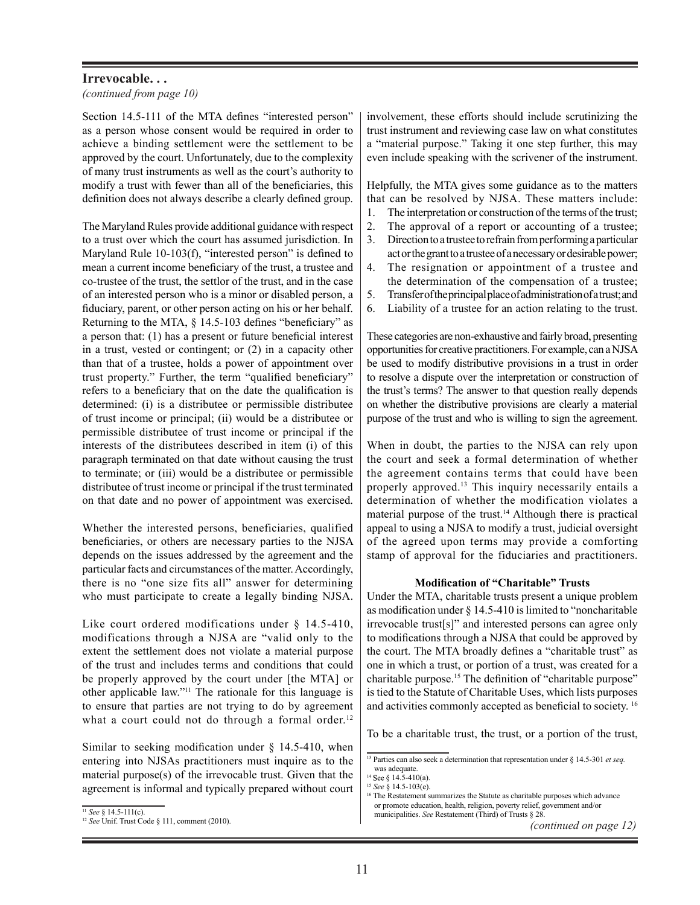# **Irrevocable. . .**

*(continued from page 10)*

Section 14.5-111 of the MTA defines "interested person" as a person whose consent would be required in order to achieve a binding settlement were the settlement to be approved by the court. Unfortunately, due to the complexity of many trust instruments as well as the court's authority to modify a trust with fewer than all of the beneficiaries, this definition does not always describe a clearly defined group.

The Maryland Rules provide additional guidance with respect to a trust over which the court has assumed jurisdiction. In Maryland Rule 10-103(f), "interested person" is defined to mean a current income beneficiary of the trust, a trustee and co-trustee of the trust, the settlor of the trust, and in the case of an interested person who is a minor or disabled person, a fiduciary, parent, or other person acting on his or her behalf. Returning to the MTA, § 14.5-103 defines "beneficiary" as a person that: (1) has a present or future beneficial interest in a trust, vested or contingent; or (2) in a capacity other than that of a trustee, holds a power of appointment over trust property." Further, the term "qualified beneficiary" refers to a beneficiary that on the date the qualification is determined: (i) is a distributee or permissible distributee of trust income or principal; (ii) would be a distributee or permissible distributee of trust income or principal if the interests of the distributees described in item (i) of this paragraph terminated on that date without causing the trust to terminate; or (iii) would be a distributee or permissible distributee of trust income or principal if the trust terminated on that date and no power of appointment was exercised.

Whether the interested persons, beneficiaries, qualified beneficiaries, or others are necessary parties to the NJSA depends on the issues addressed by the agreement and the particular facts and circumstances of the matter. Accordingly, there is no "one size fits all" answer for determining who must participate to create a legally binding NJSA.

Like court ordered modifications under  $\frac{14.5 - 410}{100}$ , modifications through a NJSA are "valid only to the extent the settlement does not violate a material purpose of the trust and includes terms and conditions that could be properly approved by the court under [the MTA] or other applicable law."11 The rationale for this language is to ensure that parties are not trying to do by agreement what a court could not do through a formal order.<sup>12</sup>

Similar to seeking modification under  $\S$  14.5-410, when entering into NJSAs practitioners must inquire as to the material purpose(s) of the irrevocable trust. Given that the agreement is informal and typically prepared without court

<sup>11</sup> *See* § 14.5-111(c).

involvement, these efforts should include scrutinizing the trust instrument and reviewing case law on what constitutes a "material purpose." Taking it one step further, this may even include speaking with the scrivener of the instrument.

Helpfully, the MTA gives some guidance as to the matters that can be resolved by NJSA. These matters include:

- 1. The interpretation or construction of the terms of the trust;
- 2. The approval of a report or accounting of a trustee;
- 3. Direction to a trustee to refrain from performing a particular act or the grant to a trustee of a necessary or desirable power;
- 4. The resignation or appointment of a trustee and the determination of the compensation of a trustee;
- 5. Transfer of the principal place of administration of a trust; and
- 6. Liability of a trustee for an action relating to the trust.

These categories are non-exhaustive and fairly broad, presenting opportunities for creative practitioners. For example, can a NJSA be used to modify distributive provisions in a trust in order to resolve a dispute over the interpretation or construction of the trust's terms? The answer to that question really depends on whether the distributive provisions are clearly a material purpose of the trust and who is willing to sign the agreement.

When in doubt, the parties to the NJSA can rely upon the court and seek a formal determination of whether the agreement contains terms that could have been properly approved.13 This inquiry necessarily entails a determination of whether the modification violates a material purpose of the trust.<sup>14</sup> Although there is practical appeal to using a NJSA to modify a trust, judicial oversight of the agreed upon terms may provide a comforting stamp of approval for the fiduciaries and practitioners.

#### **Modification of "Charitable" Trusts**

Under the MTA, charitable trusts present a unique problem as modification under § 14.5-410 is limited to "noncharitable irrevocable trust[s]" and interested persons can agree only to modifications through a NJSA that could be approved by the court. The MTA broadly defines a "charitable trust" as one in which a trust, or portion of a trust, was created for a charitable purpose.15 The definition of "charitable purpose" is tied to the Statute of Charitable Uses, which lists purposes and activities commonly accepted as beneficial to society. <sup>16</sup>

To be a charitable trust, the trust, or a portion of the trust,

<sup>12</sup> *See* Unif. Trust Code § 111, comment (2010).

<sup>13</sup> Parties can also seek a determination that representation under § 14.5-301 *et seq.* was adequate.

<sup>&</sup>lt;sup>14</sup> See § 14.5-410(a).<br><sup>15</sup> See § 14.5-103(e).

<sup>&</sup>lt;sup>16</sup> The Restatement summarizes the Statute as charitable purposes which advance or promote education, health, religion, poverty relief, government and/or municipalities. *See* Restatement (Third) of Trusts § 28.

*<sup>(</sup>continued on page 12)*